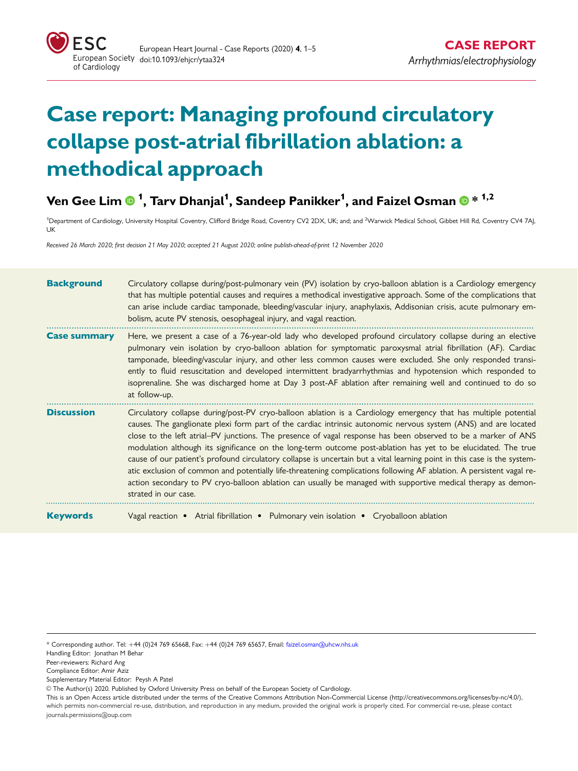

# Case report: Managing profound circulatory collapse post-atrial fibrillation ablation: a methodical approach

## Ven Gee Lim  $\mathbf{0}$  <sup>1</sup>, Tarv Dhanjal<sup>1</sup>, Sandeep Panikker<sup>1</sup>, and Faizel Osman  $\mathbf{0}$  \* <sup>1,2</sup>

<sup>1</sup>Department of Cardiology, University Hospital Coventry, Clifford Bridge Road, Coventry CV2 2DX, UK; and; and <sup>2</sup>Warwick Medical School, Gibbet Hill Rd, Coventry CV4 7AJ. UK

Received 26 March 2020; first decision 21 May 2020; accepted 21 August 2020; online publish-ahead-of-print 12 November 2020

| <b>Background</b>   | Circulatory collapse during/post-pulmonary vein (PV) isolation by cryo-balloon ablation is a Cardiology emergency<br>that has multiple potential causes and requires a methodical investigative approach. Some of the complications that<br>can arise include cardiac tamponade, bleeding/vascular injury, anaphylaxis, Addisonian crisis, acute pulmonary em-<br>bolism, acute PV stenosis, oesophageal injury, and vagal reaction.                                                                                                                                                                                                                                                                                                                                                                                                                                |
|---------------------|---------------------------------------------------------------------------------------------------------------------------------------------------------------------------------------------------------------------------------------------------------------------------------------------------------------------------------------------------------------------------------------------------------------------------------------------------------------------------------------------------------------------------------------------------------------------------------------------------------------------------------------------------------------------------------------------------------------------------------------------------------------------------------------------------------------------------------------------------------------------|
| <b>Case summary</b> | Here, we present a case of a 76-year-old lady who developed profound circulatory collapse during an elective<br>pulmonary vein isolation by cryo-balloon ablation for symptomatic paroxysmal atrial fibrillation (AF). Cardiac<br>tamponade, bleeding/vascular injury, and other less common causes were excluded. She only responded transi-<br>ently to fluid resuscitation and developed intermittent bradyarrhythmias and hypotension which responded to<br>isoprenaline. She was discharged home at Day 3 post-AF ablation after remaining well and continued to do so<br>at follow-up.                                                                                                                                                                                                                                                                        |
| <b>Discussion</b>   | Circulatory collapse during/post-PV cryo-balloon ablation is a Cardiology emergency that has multiple potential<br>causes. The ganglionate plexi form part of the cardiac intrinsic autonomic nervous system (ANS) and are located<br>close to the left atrial–PV junctions. The presence of vagal response has been observed to be a marker of ANS<br>modulation although its significance on the long-term outcome post-ablation has yet to be elucidated. The true<br>cause of our patient's profound circulatory collapse is uncertain but a vital learning point in this case is the system-<br>atic exclusion of common and potentially life-threatening complications following AF ablation. A persistent vagal re-<br>action secondary to PV cryo-balloon ablation can usually be managed with supportive medical therapy as demon-<br>strated in our case. |
| <b>Keywords</b>     | Vagal reaction • Atrial fibrillation • Pulmonary vein isolation • Cryoballoon ablation                                                                                                                                                                                                                                                                                                                                                                                                                                                                                                                                                                                                                                                                                                                                                                              |

- Handling Editor: Jonathan M Behar
- Peer-reviewers: Richard Ang

- Supplementary Material Editor: Peysh A Patel
- © The Author(s) 2020. Published by Oxford University Press on behalf of the European Society of Cardiology.

<sup>\*</sup> Corresponding author. Tel: +44 (0)24 769 65668, Fax: +44 (0)24 769 65657, Email: faizel.osman@uhcw.nhs.uk

Compliance Editor: Amir Aziz

This is an Open Access article distributed under the terms of the Creative Commons Attribution Non-Commercial License (<http://creativecommons.org/licenses/by-nc/4.0/>), which permits non-commercial re-use, distribution, and reproduction in any medium, provided the original work is properly cited. For commercial re-use, please contact journals.permissions@oup.com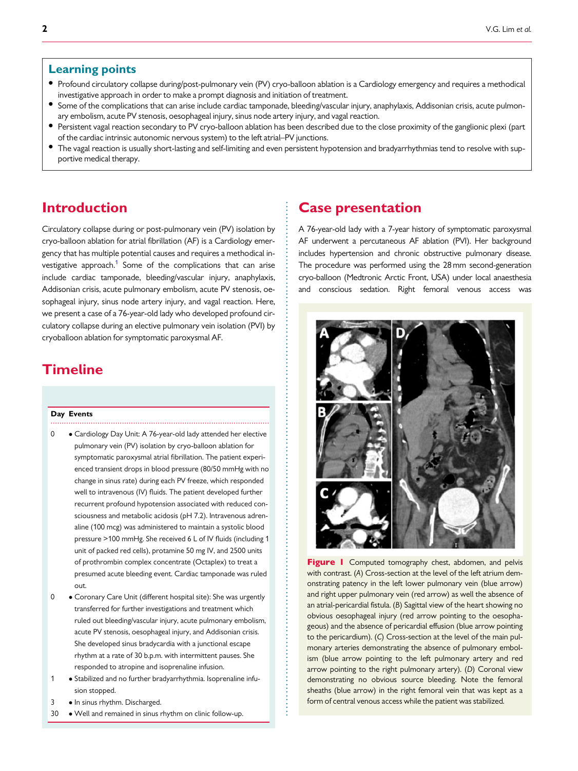#### <span id="page-1-0"></span>Learning points

- Profound circulatory collapse during/post-pulmonary vein (PV) cryo-balloon ablation is a Cardiology emergency and requires a methodical investigative approach in order to make a prompt diagnosis and initiation of treatment.
- Some of the complications that can arise include cardiac tamponade, bleeding/vascular injury, anaphylaxis, Addisonian crisis, acute pulmonary embolism, acute PV stenosis, oesophageal injury, sinus node artery injury, and vagal reaction.
- Persistent vagal reaction secondary to PV cryo-balloon ablation has been described due to the close proximity of the ganglionic plexi (part of the cardiac intrinsic autonomic nervous system) to the left atrial–PV junctions.
- The vagal reaction is usually short-lasting and self-limiting and even persistent hypotension and bradyarrhythmias tend to resolve with supportive medical therapy.

. . . . . . . . . . . . . . . . . . . . . . .

. . . . . . . . . . . . . . . . . . . . . . . . . . . . . . . . . . . . . . . . . . . . . . . . . . . . . . . . . . . . . . . . . . . . . . . . . . . . . . . . . . . . . . . . . . . . . . . . . . . . . . . . . . . . . . .

## **Introduction**

Circulatory collapse during or post-pulmonary vein (PV) isolation by cryo-balloon ablation for atrial fibrillation (AF) is a Cardiology emergency that has multiple potential causes and requires a methodical in-vestigative approach.<sup>[1](#page-4-0)</sup> Some of the complications that can arise include cardiac tamponade, bleeding/vascular injury, anaphylaxis, Addisonian crisis, acute pulmonary embolism, acute PV stenosis, oesophageal injury, sinus node artery injury, and vagal reaction. Here, we present a case of a 76-year-old lady who developed profound circulatory collapse during an elective pulmonary vein isolation (PVI) by cryoballoon ablation for symptomatic paroxysmal AF.

## Timeline

#### .................................................................................................. Day Events

- 0 Cardiology Day Unit: A 76-year-old lady attended her elective pulmonary vein (PV) isolation by cryo-balloon ablation for symptomatic paroxysmal atrial fibrillation. The patient experienced transient drops in blood pressure (80/50 mmHg with no change in sinus rate) during each PV freeze, which responded well to intravenous (IV) fluids. The patient developed further recurrent profound hypotension associated with reduced consciousness and metabolic acidosis (pH 7.2). Intravenous adrenaline (100 mcg) was administered to maintain a systolic blood pressure >100 mmHg. She received 6 L of IV fluids (including 1 unit of packed red cells), protamine 50 mg IV, and 2500 units of prothrombin complex concentrate (Octaplex) to treat a presumed acute bleeding event. Cardiac tamponade was ruled out.
- 0 Coronary Care Unit (different hospital site): She was urgently transferred for further investigations and treatment which ruled out bleeding/vascular injury, acute pulmonary embolism, acute PV stenosis, oesophageal injury, and Addisonian crisis. She developed sinus bradycardia with a junctional escape rhythm at a rate of 30 b.p.m. with intermittent pauses. She responded to atropine and isoprenaline infusion.
- 1 Stabilized and no further bradyarrhythmia. Isoprenaline infusion stopped.
- 3 . In sinus rhythm. Discharged.
- 30 Well and remained in sinus rhythm on clinic follow-up.

#### Case presentation

A 76-year-old lady with a 7-year history of symptomatic paroxysmal AF underwent a percutaneous AF ablation (PVI). Her background includes hypertension and chronic obstructive pulmonary disease. The procedure was performed using the 28 mm second-generation cryo-balloon (Medtronic Arctic Front, USA) under local anaesthesia and conscious sedation. Right femoral venous access was



Figure I Computed tomography chest, abdomen, and pelvis with contrast. (A) Cross-section at the level of the left atrium demonstrating patency in the left lower pulmonary vein (blue arrow) and right upper pulmonary vein (red arrow) as well the absence of an atrial-pericardial fistula. (B) Sagittal view of the heart showing no obvious oesophageal injury (red arrow pointing to the oesophageous) and the absence of pericardial effusion (blue arrow pointing to the pericardium). (C) Cross-section at the level of the main pulmonary arteries demonstrating the absence of pulmonary embolism (blue arrow pointing to the left pulmonary artery and red arrow pointing to the right pulmonary artery). (D) Coronal view demonstrating no obvious source bleeding. Note the femoral sheaths (blue arrow) in the right femoral vein that was kept as a form of central venous access while the patient was stabilized.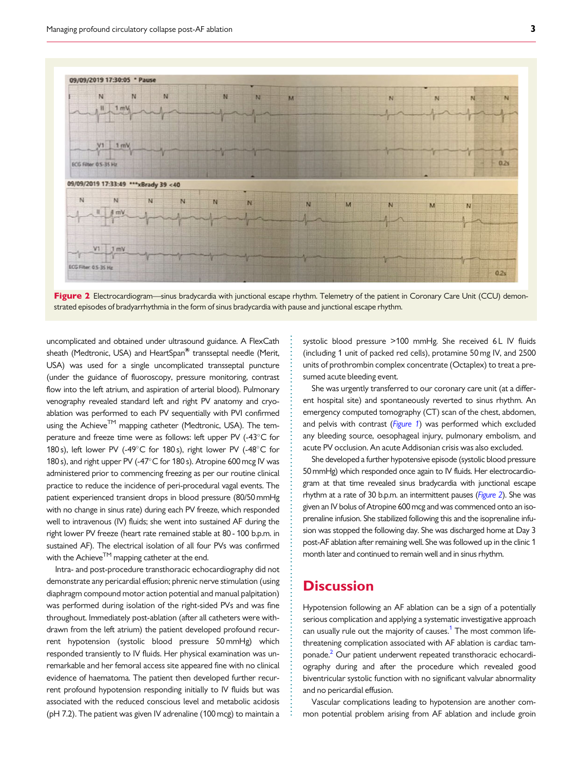<span id="page-2-0"></span>

Figure 2 Electrocardiogram—sinus bradycardia with junctional escape rhythm. Telemetry of the patient in Coronary Care Unit (CCU) demonstrated episodes of bradyarrhythmia in the form of sinus bradycardia with pause and junctional escape rhythm.

. uncomplicated and obtained under ultrasound guidance. A FlexCath sheath (Medtronic, USA) and HeartSpan<sup>®</sup> transseptal needle (Merit, USA) was used for a single uncomplicated transseptal puncture (under the guidance of fluoroscopy, pressure monitoring, contrast flow into the left atrium, and aspiration of arterial blood). Pulmonary venography revealed standard left and right PV anatomy and cryoablation was performed to each PV sequentially with PVI confirmed using the Achieve $<sup>TM</sup>$  mapping catheter (Medtronic, USA). The tem-</sup> perature and freeze time were as follows: left upper PV (-43°C for 180 s), left lower PV (-49 $^{\circ}$ C for 180 s), right lower PV (-48 $^{\circ}$ C for 180 s), and right upper PV (-47 $^{\circ}$ C for 180 s). Atropine 600 mcg IV was administered prior to commencing freezing as per our routine clinical practice to reduce the incidence of peri-procedural vagal events. The patient experienced transient drops in blood pressure (80/50 mmHg with no change in sinus rate) during each PV freeze, which responded well to intravenous (IV) fluids; she went into sustained AF during the right lower PV freeze (heart rate remained stable at 80 - 100 b.p.m. in sustained AF). The electrical isolation of all four PVs was confirmed with the Achieve<sup>TM</sup> mapping catheter at the end.

Intra- and post-procedure transthoracic echocardiography did not demonstrate any pericardial effusion; phrenic nerve stimulation (using diaphragm compound motor action potential and manual palpitation) was performed during isolation of the right-sided PVs and was fine throughout. Immediately post-ablation (after all catheters were withdrawn from the left atrium) the patient developed profound recurrent hypotension (systolic blood pressure 50 mmHg) which responded transiently to IV fluids. Her physical examination was unremarkable and her femoral access site appeared fine with no clinical evidence of haematoma. The patient then developed further recurrent profound hypotension responding initially to IV fluids but was associated with the reduced conscious level and metabolic acidosis (pH 7.2). The patient was given IV adrenaline (100 mcg) to maintain a

systolic blood pressure >100 mmHg. She received 6 L IV fluids (including 1 unit of packed red cells), protamine 50 mg IV, and 2500 units of prothrombin complex concentrate (Octaplex) to treat a presumed acute bleeding event.

She was urgently transferred to our coronary care unit (at a different hospital site) and spontaneously reverted to sinus rhythm. An emergency computed tomography (CT) scan of the chest, abdomen, and pelvis with contrast ([Figure 1](#page-1-0)) was performed which excluded any bleeding source, oesophageal injury, pulmonary embolism, and acute PV occlusion. An acute Addisonian crisis was also excluded.

She developed a further hypotensive episode (systolic blood pressure 50 mmHg) which responded once again to IV fluids. Her electrocardiogram at that time revealed sinus bradycardia with junctional escape rhythm at a rate of 30 b.p.m. an intermittent pauses (Figure 2). She was given an IV bolus of Atropine 600 mcg and was commenced onto an isoprenaline infusion. She stabilized following this and the isoprenaline infusion was stopped the following day. She was discharged home at Day 3 post-AF ablation after remaining well. She was followed up in the clinic 1 month later and continued to remain well and in sinus rhythm.

#### **Discussion**

. . . . . . . . . . . . . . . . . . . . . . . . . . . . . . . . . . . . . . . . . . . . . . . . . . . . . . . . . . . . . . . . . . . . . . . . . . . . . . . . . . . . . . . . . . . . . . . . . . .

Hypotension following an AF ablation can be a sign of a potentially serious complication and applying a systematic investigative approach can usually rule out the majority of causes.<sup>1</sup> The most common lifethreatening complication associated with AF ablation is cardiac tamponade[.2](#page-4-0) Our patient underwent repeated transthoracic echocardiography during and after the procedure which revealed good biventricular systolic function with no significant valvular abnormality and no pericardial effusion.

Vascular complications leading to hypotension are another common potential problem arising from AF ablation and include groin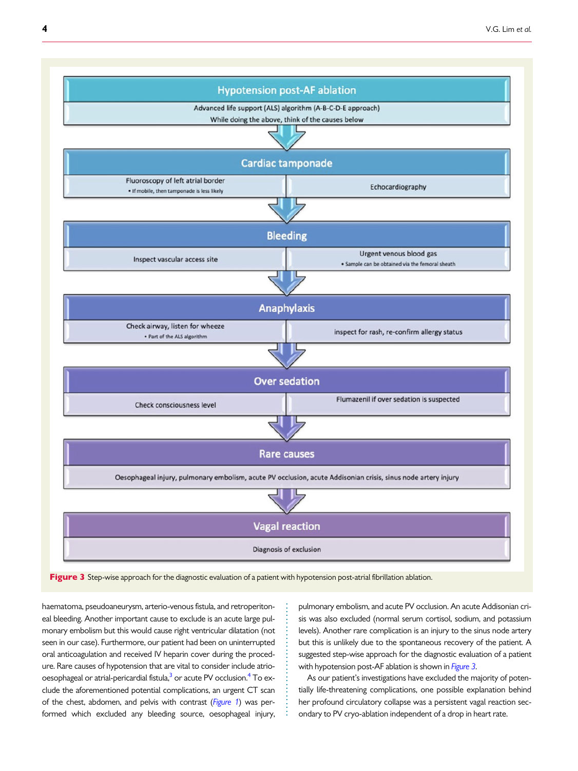<span id="page-3-0"></span>

Figure 3 Step-wise approach for the diagnostic evaluation of a patient with hypotension post-atrial fibrillation ablation.

. . . . . . . . . . . . . . . . . . . . . . . . . . . . .

. haematoma, pseudoaneurysm, arterio-venous fistula, and retroperitoneal bleeding. Another important cause to exclude is an acute large pulmonary embolism but this would cause right ventricular dilatation (not seen in our case). Furthermore, our patient had been on uninterrupted oral anticoagulation and received IV heparin cover during the procedure. Rare causes of hypotension that are vital to consider include atriooesophageal or atrial-pericardial fistula, $3$  or acute PV occlusion. $4$  To exclude the aforementioned potential complications, an urgent CT scan of the chest, abdomen, and pelvis with contrast ([Figure 1](#page-1-0)) was performed which excluded any bleeding source, oesophageal injury,

pulmonary embolism, and acute PV occlusion. An acute Addisonian crisis was also excluded (normal serum cortisol, sodium, and potassium levels). Another rare complication is an injury to the sinus node artery but this is unlikely due to the spontaneous recovery of the patient. A suggested step-wise approach for the diagnostic evaluation of a patient with hypotension post-AF ablation is shown in *Figure 3*.

As our patient's investigations have excluded the majority of potentially life-threatening complications, one possible explanation behind her profound circulatory collapse was a persistent vagal reaction secondary to PV cryo-ablation independent of a drop in heart rate.